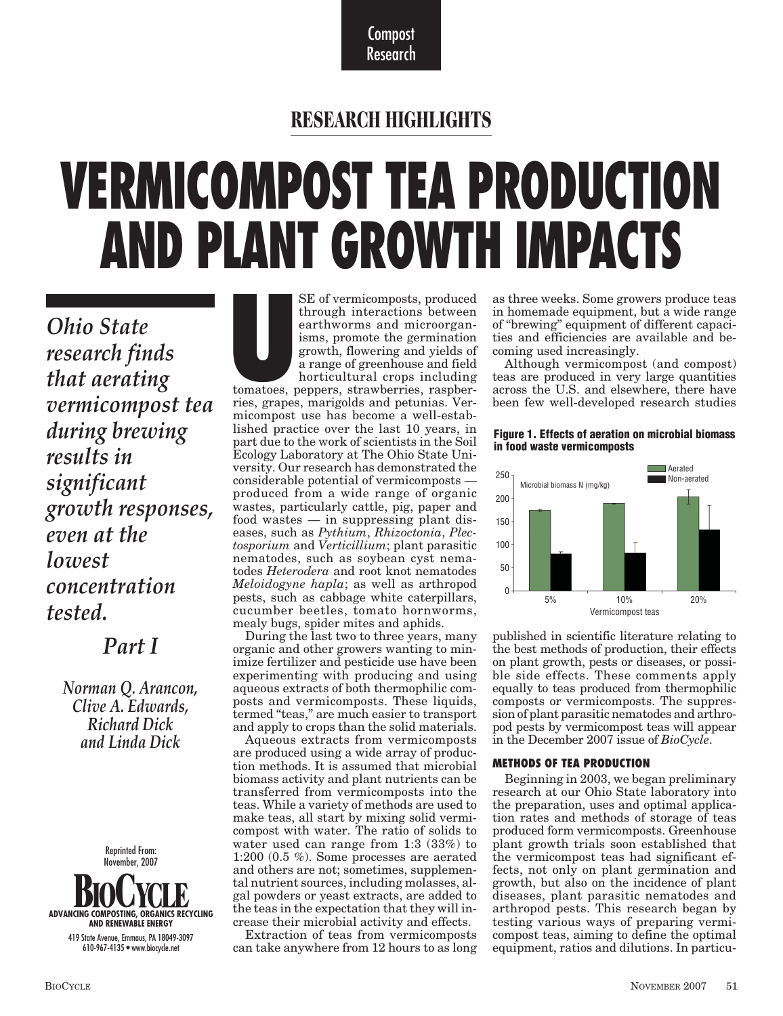Compost Research

### **RESEARCH HIGHLIGHTS**

# **VERMICOMPOST TEA PRODUCTION AND PLANT GROWTH IMPACTS**

*Ohio State research finds that aerating vermicompost tea during brewing results in significant growth responses, even at the lowest concentration tested.*

#### *Part I*

*Norman Q. Arancon, Clive A. Edwards, Richard Dick and Linda Dick*



**U** SE of vermicomposts, produced through interactions between earthworms and microorganisms, promote the germination growth, flowering and yields of a range of greenhouse and field horticultural crops including tomatoes, peppers, strawberries, raspberries, grapes, marigolds and petunias. Vermicompost use has become a well-established practice over the last 10 years, in part due to the work of scientists in the Soil Ecology Laboratory at The Ohio State University. Our research has demonstrated the considerable potential of vermicomposts produced from a wide range of organic wastes, particularly cattle, pig, paper and food wastes — in suppressing plant diseases, such as *Pythium*, *Rhizoctonia*, *Plectosporium* and *Verticillium*; plant parasitic nematodes, such as soybean cyst nematodes *Heterodera* and root knot nematodes *Meloidogyne hapla*; as well as arthropod pests, such as cabbage white caterpillars, cucumber beetles, tomato hornworms, mealy bugs, spider mites and aphids.

During the last two to three years, many organic and other growers wanting to minimize fertilizer and pesticide use have been experimenting with producing and using aqueous extracts of both thermophilic composts and vermicomposts. These liquids, termed "teas," are much easier to transport and apply to crops than the solid materials.

Aqueous extracts from vermicomposts are produced using a wide array of production methods. It is assumed that microbial biomass activity and plant nutrients can be transferred from vermicomposts into the teas. While a variety of methods are used to make teas, all start by mixing solid vermicompost with water. The ratio of solids to water used can range from 1:3 (33%) to 1:200 (0.5 %). Some processes are aerated and others are not; sometimes, supplemental nutrient sources, including molasses, algal powders or yeast extracts, are added to the teas in the expectation that they will increase their microbial activity and effects.

Extraction of teas from vermicomposts can take anywhere from 12 hours to as long

as three weeks. Some growers produce teas in homemade equipment, but a wide range of "brewing" equipment of different capacities and efficiencies are available and becoming used increasingly.

Although vermicompost (and compost) teas are produced in very large quantities across the U.S. and elsewhere, there have been few well-developed research studies

**Figure 1. Effects of aeration on microbial biomass in food waste vermicomposts** 



published in scientific literature relating to the best methods of production, their effects on plant growth, pests or diseases, or possible side effects. These comments apply equally to teas produced from thermophilic composts or vermicomposts. The suppression of plant parasitic nematodes and arthropod pests by vermicompost teas will appear in the December 2007 issue of *BioCycle*.

#### **METHODS OF TEA PRODUCTION**

Beginning in 2003, we began preliminary research at our Ohio State laboratory into the preparation, uses and optimal application rates and methods of storage of teas produced form vermicomposts. Greenhouse plant growth trials soon established that the vermicompost teas had significant effects, not only on plant germination and growth, but also on the incidence of plant diseases, plant parasitic nematodes and arthropod pests. This research began by testing various ways of preparing vermicompost teas, aiming to define the optimal equipment, ratios and dilutions. In particu